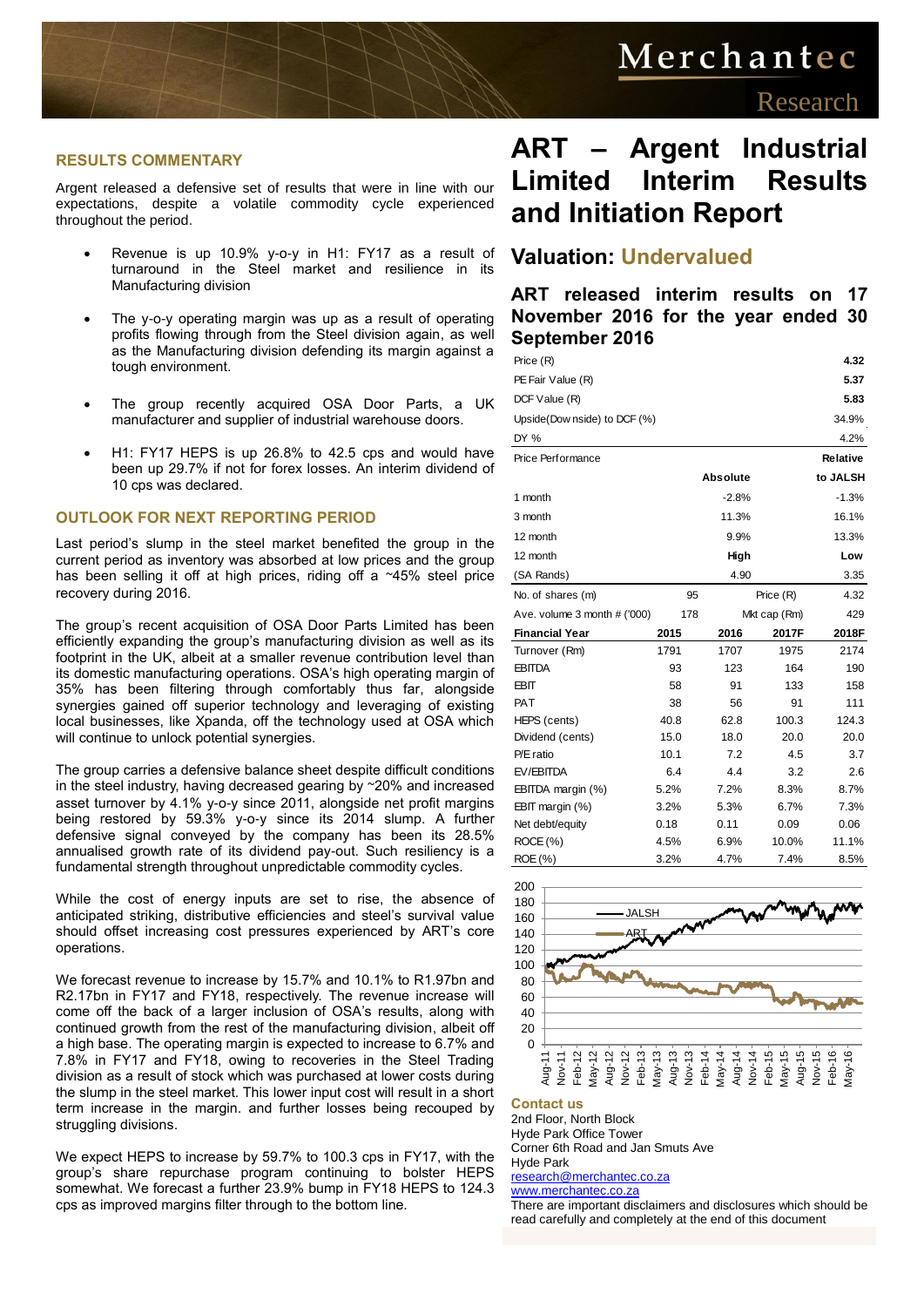# Merchantec

#### **RESULTS COMMENTARY**

Argent released a defensive set of results that were in line with our expectations, despite a volatile commodity cycle experienced throughout the period.

- Revenue is up 10.9% y-o-y in H1: FY17 as a result of turnaround in the Steel market and resilience in its Manufacturing division
- The y-o-y operating margin was up as a result of operating profits flowing through from the Steel division again, as well as the Manufacturing division defending its margin against a tough environment.
- The group recently acquired OSA Door Parts, a UK manufacturer and supplier of industrial warehouse doors.
- H1: FY17 HEPS is up 26.8% to 42.5 cps and would have been up 29.7% if not for forex losses. An interim dividend of 10 cps was declared.

#### **OUTLOOK FOR NEXT REPORTING PERIOD**

Last period's slump in the steel market benefited the group in the current period as inventory was absorbed at low prices and the group has been selling it off at high prices, riding off a ~45% steel price recovery during 2016.

The group's recent acquisition of OSA Door Parts Limited has been efficiently expanding the group's manufacturing division as well as its footprint in the UK, albeit at a smaller revenue contribution level than its domestic manufacturing operations. OSA's high operating margin of 35% has been filtering through comfortably thus far, alongside synergies gained off superior technology and leveraging of existing local businesses, like Xpanda, off the technology used at OSA which will continue to unlock potential synergies.

The group carries a defensive balance sheet despite difficult conditions in the steel industry, having decreased gearing by ~20% and increased asset turnover by 4.1% y-o-y since 2011, alongside net profit margins being restored by 59.3% y-o-y since its 2014 slump. A further defensive signal conveyed by the company has been its 28.5% annualised growth rate of its dividend pay-out. Such resiliency is a fundamental strength throughout unpredictable commodity cycles.

While the cost of energy inputs are set to rise, the absence of anticipated striking, distributive efficiencies and steel's survival value should offset increasing cost pressures experienced by ART's core operations.

We forecast revenue to increase by 15.7% and 10.1% to R1.97bn and R2.17bn in FY17 and FY18, respectively. The revenue increase will come off the back of a larger inclusion of OSA's results, along with continued growth from the rest of the manufacturing division, albeit off a high base. The operating margin is expected to increase to 6.7% and 7.8% in FY17 and FY18, owing to recoveries in the Steel Trading division as a result of stock which was purchased at lower costs during the slump in the steel market. This lower input cost will result in a short term increase in the margin. and further losses being recouped by struggling divisions.

We expect HEPS to increase by 59.7% to 100.3 cps in FY17, with the group's share repurchase program continuing to bolster HEPS somewhat. We forecast a further 23.9% bump in FY18 HEPS to 124.3 cps as improved margins filter through to the bottom line.

## **ART – Argent Industrial Limited Interim Results and Initiation Report**

## **Valuation: Undervalued**

**ART released interim results on 17 November 2016 for the year ended 30 September 2016**

| Price (R)                    | 4.32 |                     |           |          |
|------------------------------|------|---------------------|-----------|----------|
| PE Fair Value (R)            |      |                     |           | 5.37     |
| DCF Value (R)                |      |                     |           | 5.83     |
| Upside(Dow nside) to DCF (%) |      |                     |           | 34.9%    |
| DY %                         |      |                     |           | 4.2%     |
| Price Performance            |      |                     |           | Relative |
|                              |      | <b>Absolute</b>     |           | to JALSH |
| 1 month                      |      | $-2.8%$             |           | $-1.3%$  |
| 3 month                      |      | 11.3%               |           | 16.1%    |
| 12 month                     |      | 9.9%                |           | 13.3%    |
| 12 month                     |      | High                |           | Low      |
| (SA Rands)                   |      | 4.90                |           | 3.35     |
| No. of shares (m)            |      | 95                  | Price (R) | 4.32     |
| Ave. volume 3 month # ('000) |      | 178<br>Mkt cap (Rm) |           | 429      |
| <b>Financial Year</b>        | 2015 | 2016                | 2017F     | 2018F    |
| Turnover (Rm)                | 1791 | 1707                | 1975      | 2174     |
| <b>EBITDA</b>                | 93   | 123                 | 164       | 190      |
| <b>EBIT</b>                  | 58   | 91                  | 133       | 158      |
| <b>PAT</b>                   | 38   | 56                  | 91        | 111      |
| HEPS (cents)                 | 40.8 | 62.8                | 100.3     | 124.3    |
| Dividend (cents)             | 15.0 | 18.0                | 20.0      | 20.0     |
| P/E ratio                    | 10.1 | 7.2                 | 4.5       | 3.7      |
| EV/EBITDA                    | 6.4  | 4.4                 | 3.2       | 2.6      |
| EBITDA margin (%)            | 5.2% | 7.2%                | 8.3%      | 8.7%     |
| EBIT margin (%)              | 3.2% | 5.3%                | 6.7%      | 7.3%     |
| Net debt/equity              | 0.18 | 0.11                | 0.09      | 0.06     |
| ROCE (%)                     | 4.5% | 6.9%                | 10.0%     | 11.1%    |
| ROE (%)                      | 3.2% | 4.7%                | 7.4%      | 8.5%     |



#### **Contact us**

2nd Floor, North Block Hyde Park Office Tower Corner 6th Road and Jan Smuts Ave Hyde Park

#### [research@merchantec.co.za](mailto:research@merchantec.co.za)

[www.merchantec.co.za](http://www.merchantec.co.za/)

There are important disclaimers and disclosures which should be read carefully and completely at the end of this document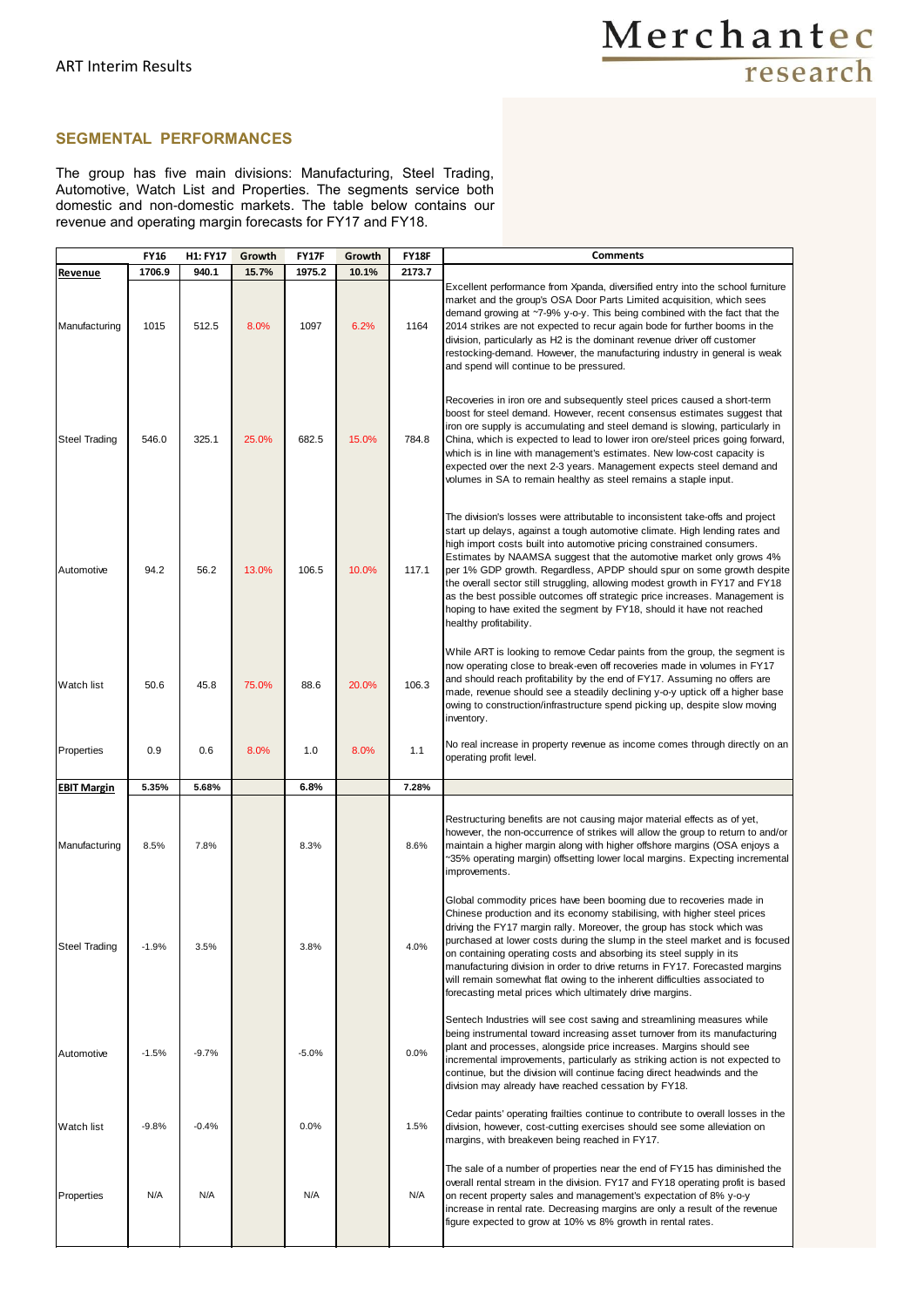### **SEGMENTAL PERFORMANCES**

The group has five main divisions: Manufacturing, Steel Trading, Automotive, Watch List and Properties. The segments service both domestic and non-domestic markets. The table below contains our revenue and operating margin forecasts for FY17 and FY18.

|                      | <b>FY16</b> | <b>H1: FY17</b> | Growth | <b>FY17F</b> | Growth | <b>FY18F</b> | <b>Comments</b>                                                                                                                                                                                                                                                                                                                                                                                                                                                                                                                                                                                                                                           |
|----------------------|-------------|-----------------|--------|--------------|--------|--------------|-----------------------------------------------------------------------------------------------------------------------------------------------------------------------------------------------------------------------------------------------------------------------------------------------------------------------------------------------------------------------------------------------------------------------------------------------------------------------------------------------------------------------------------------------------------------------------------------------------------------------------------------------------------|
| Revenue              | 1706.9      | 940.1           | 15.7%  | 1975.2       | 10.1%  | 2173.7       |                                                                                                                                                                                                                                                                                                                                                                                                                                                                                                                                                                                                                                                           |
| Manufacturing        | 1015        | 512.5           | 8.0%   | 1097         | 6.2%   | 1164         | Excellent performance from Xpanda, diversified entry into the school furniture<br>market and the group's OSA Door Parts Limited acquisition, which sees<br>demand growing at ~7-9% y-o-y. This being combined with the fact that the<br>2014 strikes are not expected to recur again bode for further booms in the<br>division, particularly as H2 is the dominant revenue driver off customer<br>restocking-demand. However, the manufacturing industry in general is weak<br>and spend will continue to be pressured.                                                                                                                                   |
| <b>Steel Trading</b> | 546.0       | 325.1           | 25.0%  | 682.5        | 15.0%  | 784.8        | Recoveries in iron ore and subsequently steel prices caused a short-term<br>boost for steel demand. However, recent consensus estimates suggest that<br>iron ore supply is accumulating and steel demand is slowing, particularly in<br>China, which is expected to lead to lower iron ore/steel prices going forward,<br>which is in line with management's estimates. New low-cost capacity is<br>expected over the next 2-3 years. Management expects steel demand and<br>volumes in SA to remain healthy as steel remains a staple input.                                                                                                             |
| Automotive           | 94.2        | 56.2            | 13.0%  | 106.5        | 10.0%  | 117.1        | The division's losses were attributable to inconsistent take-offs and project<br>start up delays, against a tough automotive climate. High lending rates and<br>high import costs built into automotive pricing constrained consumers.<br>Estimates by NAAMSA suggest that the automotive market only grows 4%<br>per 1% GDP growth. Regardless, APDP should spur on some growth despite<br>the overall sector still struggling, allowing modest growth in FY17 and FY18<br>as the best possible outcomes off strategic price increases. Management is<br>hoping to have exited the segment by FY18, should it have not reached<br>healthy profitability. |
| Watch list           | 50.6        | 45.8            | 75.0%  | 88.6         | 20.0%  | 106.3        | While ART is looking to remove Cedar paints from the group, the segment is<br>now operating close to break-even off recoveries made in volumes in FY17<br>and should reach profitability by the end of FY17. Assuming no offers are<br>made, revenue should see a steadily declining y-o-y uptick off a higher base<br>owing to construction/infrastructure spend picking up, despite slow moving<br>inventory.                                                                                                                                                                                                                                           |
| Properties           | 0.9         | 0.6             | 8.0%   | 1.0          | 8.0%   | 1.1          | No real increase in property revenue as income comes through directly on an<br>operating profit level.                                                                                                                                                                                                                                                                                                                                                                                                                                                                                                                                                    |
| <b>EBIT Margin</b>   | 5.35%       | 5.68%           |        | 6.8%         |        | 7.28%        |                                                                                                                                                                                                                                                                                                                                                                                                                                                                                                                                                                                                                                                           |
| Manufacturing        | 8.5%        | 7.8%            |        | 8.3%         |        | 8.6%         | Restructuring benefits are not causing major material effects as of yet,<br>however, the non-occurrence of strikes will allow the group to return to and/or<br>maintain a higher margin along with higher offshore margins (OSA enjoys a<br>~35% operating margin) offsetting lower local margins. Expecting incremental<br>improvements.                                                                                                                                                                                                                                                                                                                 |
| Steel Trading        | $-1.9%$     | 3.5%            |        | 3.8%         |        | 4.0%         | Global commodity prices have been booming due to recoveries made in<br>Chinese production and its economy stabilising, with higher steel prices<br>driving the FY17 margin rally. Moreover, the group has stock which was<br>purchased at lower costs during the slump in the steel market and is focused<br>on containing operating costs and absorbing its steel supply in its<br>manufacturing division in order to drive returns in FY17. Forecasted margins<br>will remain somewhat flat owing to the inherent difficulties associated to<br>forecasting metal prices which ultimately drive margins.                                                |
| Automotive           | $-1.5%$     | $-9.7%$         |        | $-5.0%$      |        | 0.0%         | Sentech Industries will see cost saving and streamlining measures while<br>being instrumental toward increasing asset turnover from its manufacturing<br>plant and processes, alongside price increases. Margins should see<br>incremental improvements, particularly as striking action is not expected to<br>continue, but the division will continue facing direct headwinds and the<br>division may already have reached cessation by FY18.                                                                                                                                                                                                           |
| <b>Watch list</b>    | $-9.8%$     | $-0.4%$         |        | 0.0%         |        | 1.5%         | Cedar paints' operating frailties continue to contribute to overall losses in the<br>division, however, cost-cutting exercises should see some alleviation on<br>margins, with breakeven being reached in FY17.                                                                                                                                                                                                                                                                                                                                                                                                                                           |
| Properties           | N/A         | N/A             |        | N/A          |        | N/A          | The sale of a number of properties near the end of FY15 has diminished the<br>overall rental stream in the division. FY17 and FY18 operating profit is based<br>on recent property sales and management's expectation of 8% y-o-y<br>increase in rental rate. Decreasing margins are only a result of the revenue<br>figure expected to grow at 10% vs 8% growth in rental rates.                                                                                                                                                                                                                                                                         |